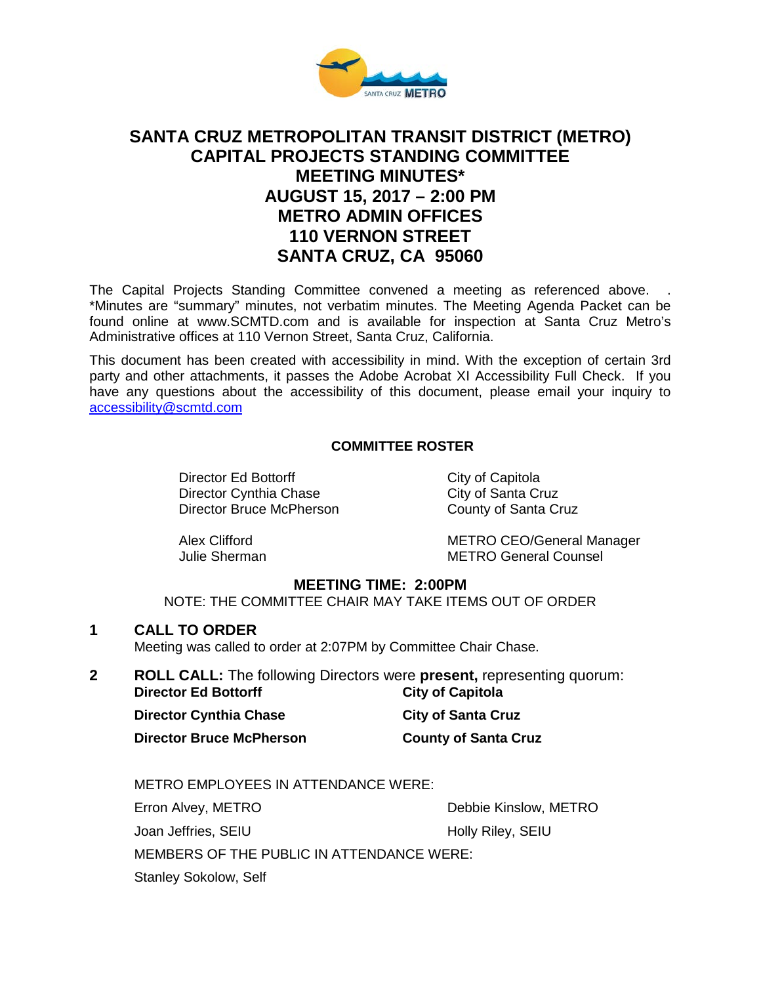

# **SANTA CRUZ METROPOLITAN TRANSIT DISTRICT (METRO) CAPITAL PROJECTS STANDING COMMITTEE MEETING MINUTES\* AUGUST 15, 2017 – 2:00 PM METRO ADMIN OFFICES 110 VERNON STREET SANTA CRUZ, CA 95060**

The Capital Projects Standing Committee convened a meeting as referenced above. . \*Minutes are "summary" minutes, not verbatim minutes. The Meeting Agenda Packet can be found online at www.SCMTD.com and is available for inspection at Santa Cruz Metro's Administrative offices at 110 Vernon Street, Santa Cruz, California.

This document has been created with accessibility in mind. With the exception of certain 3rd party and other attachments, it passes the Adobe Acrobat XI Accessibility Full Check. If you have any questions about the accessibility of this document, please email your inquiry to [accessibility@scmtd.com](mailto:accessibility@scmtd.com)

#### **COMMITTEE ROSTER**

Director Ed Bottorff City of Capitola Director Cynthia Chase City of Santa Cruz Director Bruce McPherson County of Santa Cruz

Alex Clifford METRO CEO/General Manager Julie Sherman METRO General Counsel

#### **MEETING TIME: 2:00PM**

NOTE: THE COMMITTEE CHAIR MAY TAKE ITEMS OUT OF ORDER

#### **1 CALL TO ORDER**

Meeting was called to order at 2:07PM by Committee Chair Chase.

**2 ROLL CALL:** The following Directors were **present,** representing quorum: **Director Ed Bottorff** 

**Director Cynthia Chase City of Santa Cruz** 

**Director Bruce McPherson County of Santa Cruz**

METRO EMPLOYEES IN ATTENDANCE WERE:

Erron Alvey, METRO Joan Jeffries, SEIU

Debbie Kinslow, METRO

Holly Riley, SEIU

MEMBERS OF THE PUBLIC IN ATTENDANCE WERE:

Stanley Sokolow, Self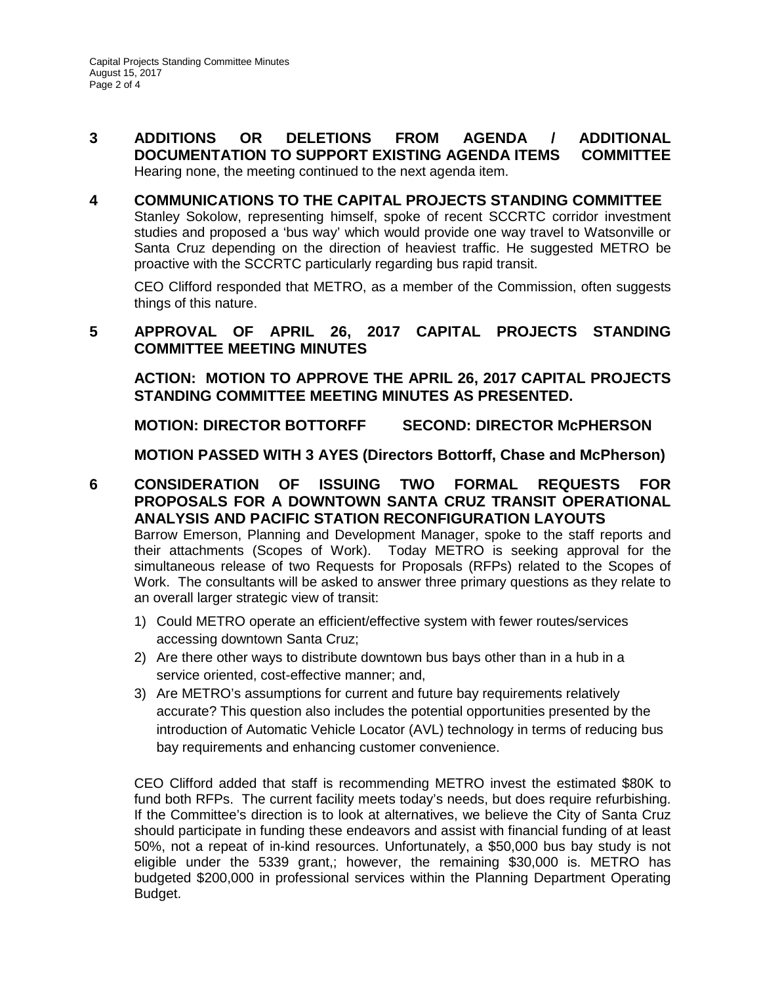- **3 ADDITIONS OR DELETIONS FROM AGENDA / ADDITIONAL DOCUMENTATION TO SUPPORT EXISTING AGENDA ITEMS COMMITTEE** Hearing none, the meeting continued to the next agenda item.
- **4 COMMUNICATIONS TO THE CAPITAL PROJECTS STANDING COMMITTEE** Stanley Sokolow, representing himself, spoke of recent SCCRTC corridor investment studies and proposed a 'bus way' which would provide one way travel to Watsonville or Santa Cruz depending on the direction of heaviest traffic. He suggested METRO be proactive with the SCCRTC particularly regarding bus rapid transit.

CEO Clifford responded that METRO, as a member of the Commission, often suggests things of this nature.

## **5 APPROVAL OF APRIL 26, 2017 CAPITAL PROJECTS STANDING COMMITTEE MEETING MINUTES**

**ACTION: MOTION TO APPROVE THE APRIL 26, 2017 CAPITAL PROJECTS STANDING COMMITTEE MEETING MINUTES AS PRESENTED.** 

**MOTION: DIRECTOR BOTTORFF SECOND: DIRECTOR McPHERSON**

**MOTION PASSED WITH 3 AYES (Directors Bottorff, Chase and McPherson)** 

- **6 CONSIDERATION OF ISSUING TWO FORMAL REQUESTS FOR PROPOSALS FOR A DOWNTOWN SANTA CRUZ TRANSIT OPERATIONAL ANALYSIS AND PACIFIC STATION RECONFIGURATION LAYOUTS**  Barrow Emerson, Planning and Development Manager, spoke to the staff reports and their attachments (Scopes of Work). Today METRO is seeking approval for the simultaneous release of two Requests for Proposals (RFPs) related to the Scopes of Work. The consultants will be asked to answer three primary questions as they relate to an overall larger strategic view of transit:
	- 1) Could METRO operate an efficient/effective system with fewer routes/services accessing downtown Santa Cruz;
	- 2) Are there other ways to distribute downtown bus bays other than in a hub in a service oriented, cost-effective manner; and,
	- 3) Are METRO's assumptions for current and future bay requirements relatively accurate? This question also includes the potential opportunities presented by the introduction of Automatic Vehicle Locator (AVL) technology in terms of reducing bus bay requirements and enhancing customer convenience.

CEO Clifford added that staff is recommending METRO invest the estimated \$80K to fund both RFPs. The current facility meets today's needs, but does require refurbishing. If the Committee's direction is to look at alternatives, we believe the City of Santa Cruz should participate in funding these endeavors and assist with financial funding of at least 50%, not a repeat of in-kind resources. Unfortunately, a \$50,000 bus bay study is not eligible under the 5339 grant,; however, the remaining \$30,000 is. METRO has budgeted \$200,000 in professional services within the Planning Department Operating Budget.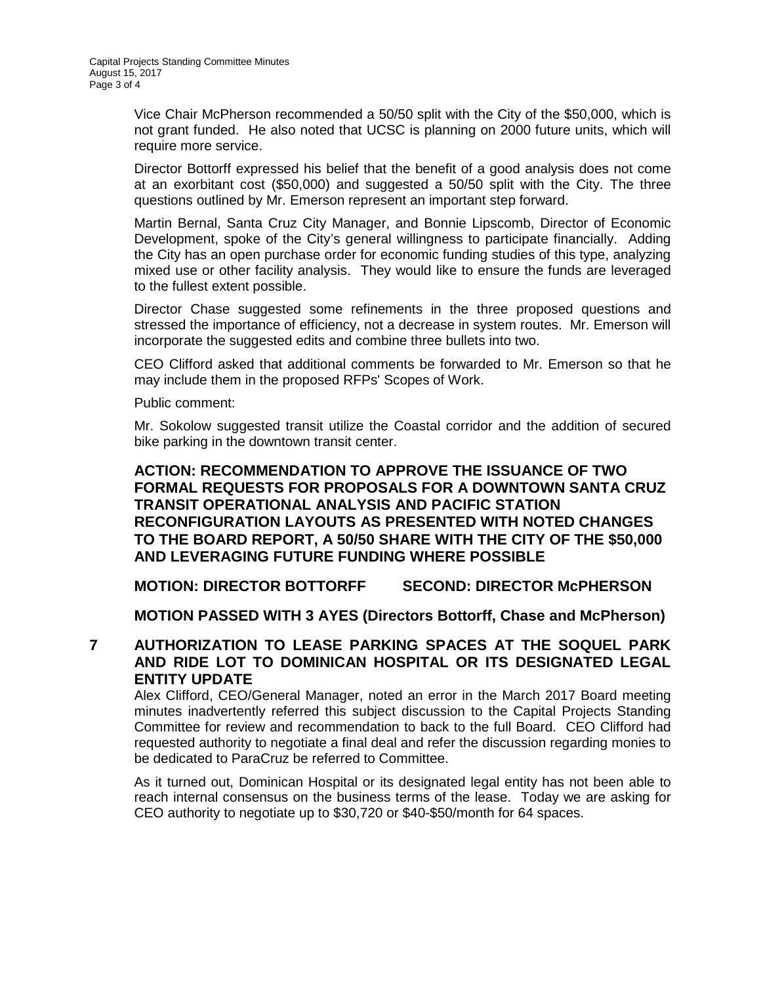Vice Chair McPherson recommended a 50/50 split with the City of the \$50,000, which is not grant funded. He also noted that UCSC is planning on 2000 future units, which will require more service.

Director Bottorff expressed his belief that the benefit of a good analysis does not come at an exorbitant cost (\$50,000) and suggested a 50/50 split with the City. The three questions outlined by Mr. Emerson represent an important step forward.

Martin Bernal, Santa Cruz City Manager, and Bonnie Lipscomb, Director of Economic Development, spoke of the City's general willingness to participate financially. Adding the City has an open purchase order for economic funding studies of this type, analyzing mixed use or other facility analysis. They would like to ensure the funds are leveraged to the fullest extent possible.

Director Chase suggested some refinements in the three proposed questions and stressed the importance of efficiency, not a decrease in system routes. Mr. Emerson will incorporate the suggested edits and combine three bullets into two.

CEO Clifford asked that additional comments be forwarded to Mr. Emerson so that he may include them in the proposed RFPs' Scopes of Work.

Public comment:

Mr. Sokolow suggested transit utilize the Coastal corridor and the addition of secured bike parking in the downtown transit center.

## **ACTION: RECOMMENDATION TO APPROVE THE ISSUANCE OF TWO FORMAL REQUESTS FOR PROPOSALS FOR A DOWNTOWN SANTA CRUZ TRANSIT OPERATIONAL ANALYSIS AND PACIFIC STATION RECONFIGURATION LAYOUTS AS PRESENTED WITH NOTED CHANGES TO THE BOARD REPORT, A 50/50 SHARE WITH THE CITY OF THE \$50,000 AND LEVERAGING FUTURE FUNDING WHERE POSSIBLE**

**MOTION: DIRECTOR BOTTORFF SECOND: DIRECTOR McPHERSON**

**MOTION PASSED WITH 3 AYES (Directors Bottorff, Chase and McPherson)**

**7 AUTHORIZATION TO LEASE PARKING SPACES AT THE SOQUEL PARK AND RIDE LOT TO DOMINICAN HOSPITAL OR ITS DESIGNATED LEGAL ENTITY UPDATE** 

Alex Clifford, CEO/General Manager, noted an error in the March 2017 Board meeting minutes inadvertently referred this subject discussion to the Capital Projects Standing Committee for review and recommendation to back to the full Board. CEO Clifford had requested authority to negotiate a final deal and refer the discussion regarding monies to be dedicated to ParaCruz be referred to Committee.

As it turned out, Dominican Hospital or its designated legal entity has not been able to reach internal consensus on the business terms of the lease. Today we are asking for CEO authority to negotiate up to \$30,720 or \$40-\$50/month for 64 spaces.